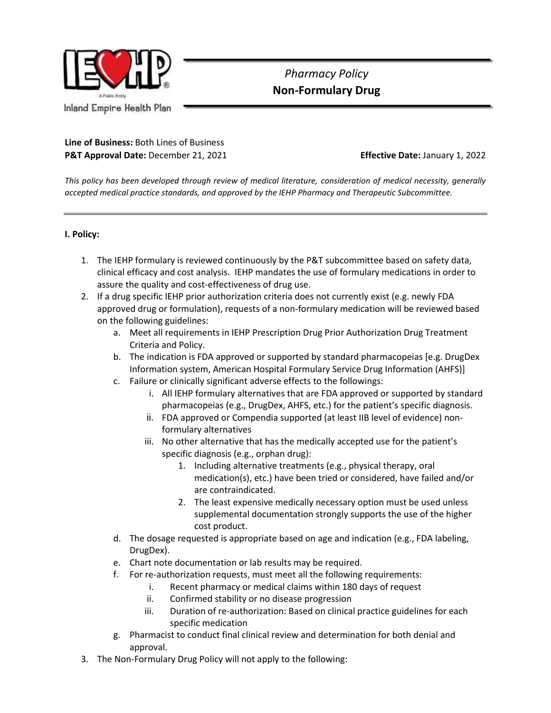

## *Pharmacy Policy*  **Non-Formulary Drug**

## **Line of Business:** Both Lines of Business **P&T Approval Date:** December 21, 2021 **Effective Date:** January 1, 2022

*This policy has been developed through review of medical literature, consideration of medical necessity, generally accepted medical practice standards, and approved by the IEHP Pharmacy and Therapeutic Subcommittee.*

## **I. Policy:**

- 1. The IEHP formulary is reviewed continuously by the P&T subcommittee based on safety data, clinical efficacy and cost analysis. IEHP mandates the use of formulary medications in order to assure the quality and cost-effectiveness of drug use.
- 2. If a drug specific IEHP prior authorization criteria does not currently exist (e.g. newly FDA approved drug or formulation), requests of a non-formulary medication will be reviewed based on the following guidelines:
	- a. Meet all requirements in IEHP Prescription Drug Prior Authorization Drug Treatment Criteria and Policy.
	- b. The indication is FDA approved or supported by standard pharmacopeias [e.g. DrugDex Information system, American Hospital Formulary Service Drug Information (AHFS)]
	- c. Failure or clinically significant adverse effects to the followings:
		- i. All IEHP formulary alternatives that are FDA approved or supported by standard pharmacopeias (e.g., DrugDex, AHFS, etc.) for the patient's specific diagnosis.
		- ii. FDA approved or Compendia supported (at least IIB level of evidence) nonformulary alternatives
		- iii. No other alternative that has the medically accepted use for the patient's specific diagnosis (e.g., orphan drug):
			- 1. Including alternative treatments (e.g., physical therapy, oral medication(s), etc.) have been tried or considered, have failed and/or are contraindicated.
			- 2. The least expensive medically necessary option must be used unless supplemental documentation strongly supports the use of the higher cost product.
	- d. The dosage requested is appropriate based on age and indication (e.g., FDA labeling, DrugDex).
	- e. Chart note documentation or lab results may be required.
	- f. For re-authorization requests, must meet all the following requirements:
		- i. Recent pharmacy or medical claims within 180 days of request
		- ii. Confirmed stability or no disease progression
		- iii. Duration of re-authorization: Based on clinical practice guidelines for each specific medication
	- g. Pharmacist to conduct final clinical review and determination for both denial and approval.
- 3. The Non-Formulary Drug Policy will not apply to the following: